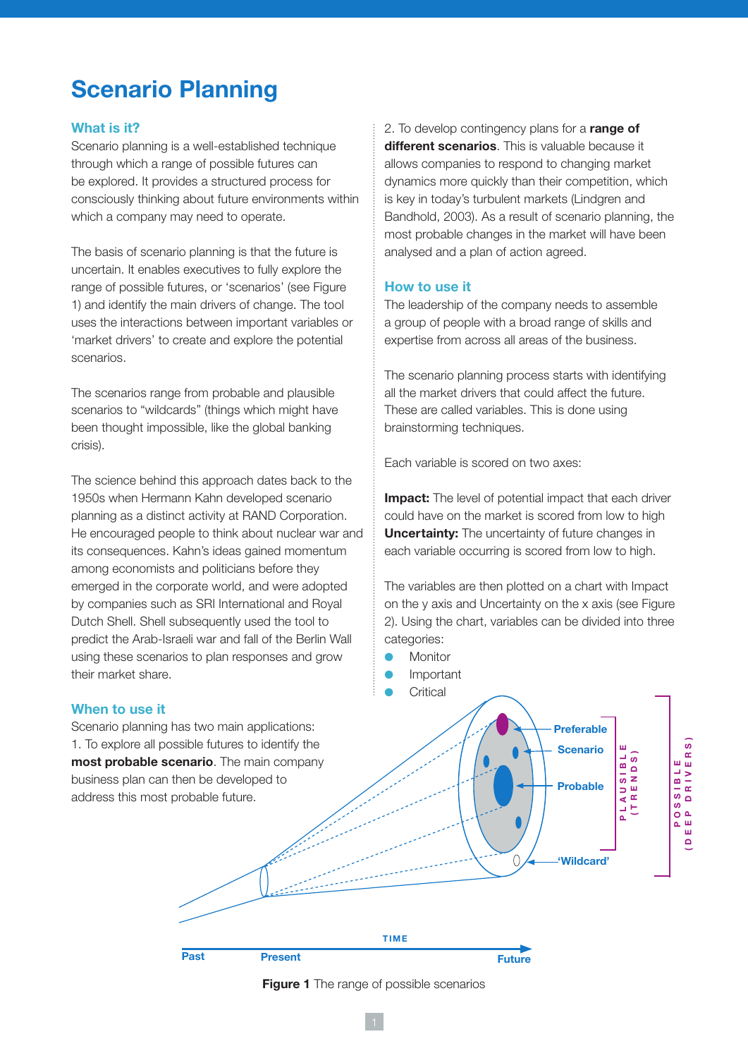# **Scenario Planning**

## **What is it?**

Scenario planning is a well-established technique through which a range of possible futures can be explored. It provides a structured process for consciously thinking about future environments within which a company may need to operate.

The basis of scenario planning is that the future is uncertain. It enables executives to fully explore the range of possible futures, or 'scenarios' (see Figure 1) and identify the main drivers of change. The tool uses the interactions between important variables or 'market drivers' to create and explore the potential scenarios.

The scenarios range from probable and plausible scenarios to "wildcards" (things which might have been thought impossible, like the global banking crisis).

The science behind this approach dates back to the 1950s when Hermann Kahn developed scenario planning as a distinct activity at RAND Corporation. He encouraged people to think about nuclear war and its consequences. Kahn's ideas gained momentum among economists and politicians before they emerged in the corporate world, and were adopted by companies such as SRI International and Royal Dutch Shell. Shell subsequently used the tool to predict the Arab-Israeli war and fall of the Berlin Wall using these scenarios to plan responses and grow their market share.

## **When to use it**

Scenario planning has two main applications: 1. To explore all possible futures to identify the **most probable scenario**. The main company business plan can then be developed to address this most probable future.

2. To develop contingency plans for a **range of different scenarios**. This is valuable because it allows companies to respond to changing market dynamics more quickly than their competition, which is key in today's turbulent markets (Lindgren and Bandhold, 2003). As a result of scenario planning, the most probable changes in the market will have been analysed and a plan of action agreed.

## **How to use it**

The leadership of the company needs to assemble a group of people with a broad range of skills and expertise from across all areas of the business.

The scenario planning process starts with identifying all the market drivers that could affect the future. These are called variables. This is done using brainstorming techniques.

Each variable is scored on two axes:

**Impact:** The level of potential impact that each driver could have on the market is scored from low to high **Uncertainty:** The uncertainty of future changes in each variable occurring is scored from low to high.

The variables are then plotted on a chart with Impact on the y axis and Uncertainty on the x axis (see Figure 2). Using the chart, variables can be divided into three categories:

- **Monitor**
- **Important**
- **Critical**



**Figure 1** The range of possible scenarios